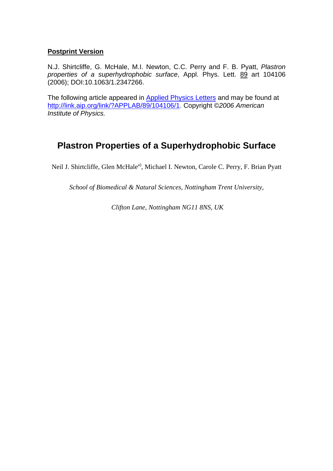# **Postprint Version**

N.J. Shirtcliffe, G. McHale, M.I. Newton, C.C. Perry and F. B. Pyatt, Plastron properties of a superhydrophobic surface, Appl. Phys. Lett. 89 art 104106 (2006); DOI:10.1063/1.2347266.

The following article appeared in Applied Physics Letters and may be found at http://link.aip.org/link/?APPLAB/89/104106/1. Copyright ©2006 American Institute of Physics.

# **Plastron Properties of a Superhydrophobic Surface**

Neil J. Shirtcliffe, Glen McHale<sup>a)</sup>, Michael I. Newton, Carole C. Perry, F. Brian Pyatt

*School of Biomedical & Natural Sciences, Nottingham Trent University,* 

 *Clifton Lane, Nottingham NG11 8NS, UK*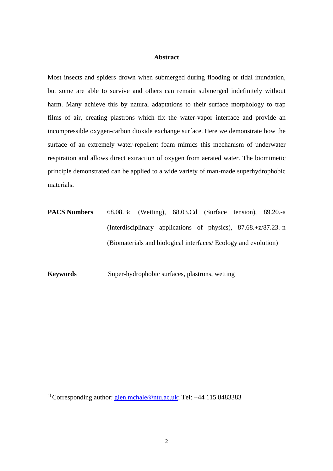#### **Abstract**

Most insects and spiders drown when submerged during flooding or tidal inundation, but some are able to survive and others can remain submerged indefinitely without harm. Many achieve this by natural adaptations to their surface morphology to trap films of air, creating plastrons which fix the water-vapor interface and provide an incompressible oxygen-carbon dioxide exchange surface. Here we demonstrate how the surface of an extremely water-repellent foam mimics this mechanism of underwater respiration and allows direct extraction of oxygen from aerated water. The biomimetic principle demonstrated can be applied to a wide variety of man-made superhydrophobic materials.

**PACS Numbers** 68.08.Bc (Wetting), 68.03.Cd (Surface tension), 89.20.-a (Interdisciplinary applications of physics), 87.68.+z/87.23.-n (Biomaterials and biological interfaces/ Ecology and evolution)

**Keywords** Super-hydrophobic surfaces, plastrons, wetting

<sup>a)</sup> Corresponding author:  $q \mid en.mchale@ntu.ac.uk$ ; Tel: +44 115 8483383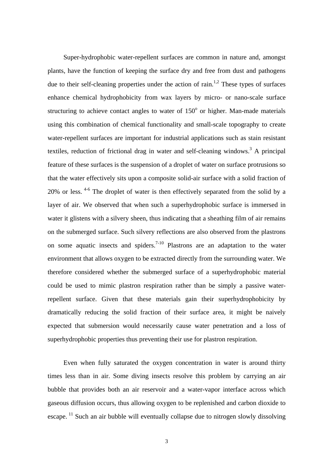Super-hydrophobic water-repellent surfaces are common in nature and, amongst plants, have the function of keeping the surface dry and free from dust and pathogens due to their self-cleaning properties under the action of rain.<sup>1,2</sup> These types of surfaces enhance chemical hydrophobicity from wax layers by micro- or nano-scale surface structuring to achieve contact angles to water of  $150^{\circ}$  or higher. Man-made materials using this combination of chemical functionality and small-scale topography to create water-repellent surfaces are important for industrial applications such as stain resistant textiles, reduction of frictional drag in water and self-cleaning windows.<sup>3</sup> A principal feature of these surfaces is the suspension of a droplet of water on surface protrusions so that the water effectively sits upon a composite solid-air surface with a solid fraction of 20% or less. 4-6 The droplet of water is then effectively separated from the solid by a layer of air. We observed that when such a superhydrophobic surface is immersed in water it glistens with a silvery sheen, thus indicating that a sheathing film of air remains on the submerged surface. Such silvery reflections are also observed from the plastrons on some aquatic insects and spiders.<sup>7-10</sup> Plastrons are an adaptation to the water environment that allows oxygen to be extracted directly from the surrounding water. We therefore considered whether the submerged surface of a superhydrophobic material could be used to mimic plastron respiration rather than be simply a passive waterrepellent surface. Given that these materials gain their superhydrophobicity by dramatically reducing the solid fraction of their surface area, it might be naively expected that submersion would necessarily cause water penetration and a loss of superhydrophobic properties thus preventing their use for plastron respiration.

Even when fully saturated the oxygen concentration in water is around thirty times less than in air. Some diving insects resolve this problem by carrying an air bubble that provides both an air reservoir and a water-vapor interface across which gaseous diffusion occurs, thus allowing oxygen to be replenished and carbon dioxide to escape.<sup>11</sup> Such an air bubble will eventually collapse due to nitrogen slowly dissolving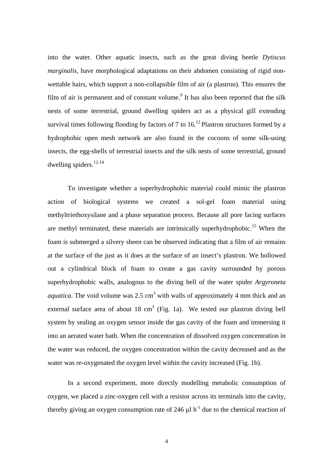into the water. Other aquatic insects, such as the great diving beetle *Dytiscus marginalis*, have morphological adaptations on their abdomen consisting of rigid nonwettable hairs, which support a non-collapsible film of air (a plastron). This ensures the film of air is permanent and of constant volume.<sup>9</sup> It has also been reported that the silk nests of some terrestrial, ground dwelling spiders act as a physical gill extending survival times following flooding by factors of 7 to  $16$ .<sup>12</sup> Plastron structures formed by a hydrophobic open mesh network are also found in the cocoons of some silk-using insects, the egg-shells of terrestrial insects and the silk nests of some terrestrial, ground dwelling spiders. $12-14$ 

To investigate whether a superhydrophobic material could mimic the plastron action of biological systems we created a sol-gel foam material using methyltriethoxysilane and a phase separation process. Because all pore facing surfaces are methyl terminated, these materials are intrinsically superhydrophobic.<sup>15</sup> When the foam is submerged a silvery sheen can be observed indicating that a film of air remains at the surface of the just as it does at the surface of an insect's plastron. We hollowed out a cylindrical block of foam to create a gas cavity surrounded by porous superhydrophobic walls, analogous to the diving bell of the water spider *Argyroneta aquatica*. The void volume was  $2.5 \text{ cm}^3$  with walls of approximately 4 mm thick and an external surface area of about 18 cm<sup>3</sup> (Fig. 1a). We tested our plastron diving bell system by sealing an oxygen sensor inside the gas cavity of the foam and immersing it into an aerated water bath. When the concentration of dissolved oxygen concentration in the water was reduced, the oxygen concentration within the cavity decreased and as the water was re-oxygenated the oxygen level within the cavity increased (Fig. 1b).

In a second experiment, more directly modelling metabolic consumption of oxygen, we placed a zinc-oxygen cell with a resistor across its terminals into the cavity, thereby giving an oxygen consumption rate of 246  $\mu$ l h<sup>-1</sup> due to the chemical reaction of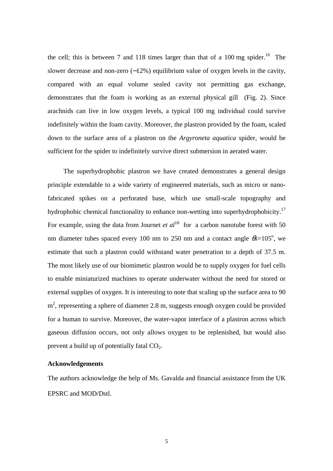the cell; this is between 7 and 118 times larger than that of a 100 mg spider.<sup>16</sup> The slower decrease and non-zero (∼12%) equilibrium value of oxygen levels in the cavity, compared with an equal volume sealed cavity not permitting gas exchange, demonstrates that the foam is working as an external physical gill (Fig. 2). Since arachnids can live in low oxygen levels, a typical 100 mg individual could survive indefinitely within the foam cavity. Moreover, the plastron provided by the foam, scaled down to the surface area of a plastron on the *Argyroneta aquatica* spider, would be sufficient for the spider to indefinitely survive direct submersion in aerated water.

The superhydrophobic plastron we have created demonstrates a general design principle extendable to a wide variety of engineered materials, such as micro or nanofabricated spikes on a perforated base, which use small-scale topography and hydrophobic chemical functionality to enhance non-wetting into superhydrophobicity.<sup>17</sup> For example, using the data from Journet *et al*<sup>18</sup> for a carbon nanotube forest with 50 nm diameter tubes spaced every 100 nm to 250 nm and a contact angle  $\theta = 105^{\circ}$ , we estimate that such a plastron could withstand water penetration to a depth of 37.5 m. The most likely use of our biomimetic plastron would be to supply oxygen for fuel cells to enable miniaturized machines to operate underwater without the need for stored or external supplies of oxygen. It is interesting to note that scaling up the surface area to 90 m<sup>2</sup>, representing a sphere of diameter 2.8 m, suggests enough oxygen could be provided for a human to survive. Moreover, the water-vapor interface of a plastron across which gaseous diffusion occurs, not only allows oxygen to be replenished, but would also prevent a build up of potentially fatal  $CO<sub>2</sub>$ .

#### **Acknowledgements**

The authors acknowledge the help of Ms. Gavalda and financial assistance from the UK EPSRC and MOD/Dstl.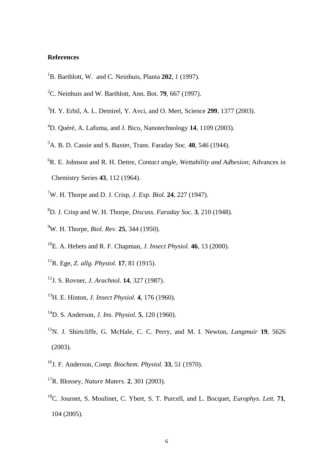#### **References**

- B. Barthlott, W. and C. Neinhuis, Planta **202**, 1 (1997).
- C. Neinhuis and W. Barthlott, Ann. Bot. **79**, 667 (1997).
- H. Y. Erbil, A. L. Demirel, Y. Avci, and O. Mert, Science **299**, 1377 (2003).
- D. Quéré, A. Lafuma, and J. Bico, Nanotechnology **14**, 1109 (2003).
- A. B. D. Cassie and S. Baxter, Trans. Faraday Soc*.* **40**, 546 (1944).
- R. E. Johnson and R. H. Dettre, *Contact angle, Wettability and Adhesion*; Advances in Chemistry Series **43**, 112 (1964).
- W. H. Thorpe and D. J. Crisp, *J. Exp. Biol.* **24**, 227 (1947).
- D. J. Crisp and W. H. Thorpe, *Discuss. Faraday Soc.* **3**, 210 (1948).
- W. H. Thorpe, *Biol. Rev.* **25**, 344 (1950).
- E. A. Hebets and R. F. Chapman, *J. Insect Physiol.* **46**, 13 (2000).
- R. Ege, *Z. allg. Physiol.* **17**, 81 (1915).
- J. S. Rovner, *J. Arachnol.* **14**, 327 (1987).
- H. E. Hinton, *J. Insect Physiol.* **4**, 176 (1960).
- D. S. Anderson, *J. Ins. Physiol.* **5**, 120 (1960).
- N. J. Shirtcliffe, G. McHale, C. C. Perry, and M. I. Newton, *Langmuir* **19**, 5626 (2003).
- J. F. Anderson, *Comp. Biochem. Physiol.* **33**, 51 (1970).
- R. Blossey, *Nature Maters.* **2**, 301 (2003).
- C. Journet, S. Moulinet, C. Ybert, S. T. Purcell, and L. Bocquet, *Europhys. Lett.* **71**, 104 (2005).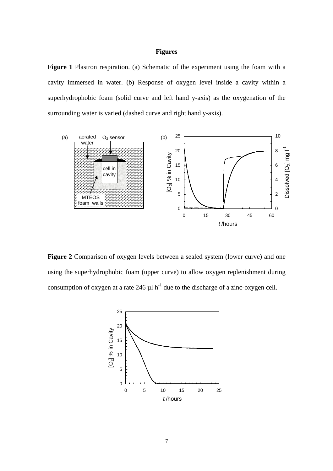## **Figures**

Figure 1 Plastron respiration. (a) Schematic of the experiment using the foam with a cavity immersed in water. (b) Response of oxygen level inside a cavity within a superhydrophobic foam (solid curve and left hand y-axis) as the oxygenation of the surrounding water is varied (dashed curve and right hand y-axis).



**Figure 2** Comparison of oxygen levels between a sealed system (lower curve) and one using the superhydrophobic foam (upper curve) to allow oxygen replenishment during consumption of oxygen at a rate 246  $\mu$ l h<sup>-1</sup> due to the discharge of a zinc-oxygen cell.

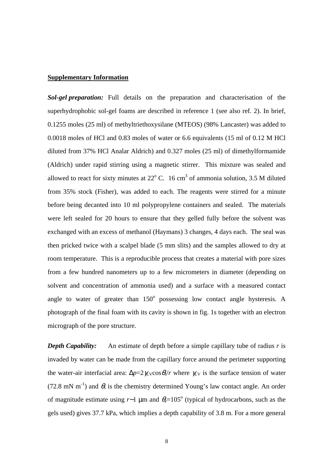#### **Supplementary Information**

*Sol-gel preparation:* Full details on the preparation and characterisation of the superhydrophobic sol-gel foams are described in reference 1 (see also ref. 2). In brief, 0.1255 moles (25 ml) of methyltriethoxysilane (MTEOS) (98% Lancaster) was added to 0.0018 moles of HCl and 0.83 moles of water or 6.6 equivalents (15 ml of 0.12 M HCl diluted from 37% HCl Analar Aldrich) and 0.327 moles (25 ml) of dimethylformamide (Aldrich) under rapid stirring using a magnetic stirrer. This mixture was sealed and allowed to react for sixty minutes at  $22^{\circ}$  C. 16 cm<sup>3</sup> of ammonia solution, 3.5 M diluted from 35% stock (Fisher), was added to each. The reagents were stirred for a minute before being decanted into 10 ml polypropylene containers and sealed. The materials were left sealed for 20 hours to ensure that they gelled fully before the solvent was exchanged with an excess of methanol (Haymans) 3 changes, 4 days each. The seal was then pricked twice with a scalpel blade (5 mm slits) and the samples allowed to dry at room temperature. This is a reproducible process that creates a material with pore sizes from a few hundred nanometers up to a few micrometers in diameter (depending on solvent and concentration of ammonia used) and a surface with a measured contact angle to water of greater than  $150^\circ$  possessing low contact angle hysteresis. A photograph of the final foam with its cavity is shown in fig. 1s together with an electron micrograph of the pore structure.

*Depth Capability:* An estimate of depth before a simple capillary tube of radius *r* is invaded by water can be made from the capillary force around the perimeter supporting the water-air interfacial area:  $\Delta p = 2\gamma_V \cos \theta / r$  where  $\gamma_V$  is the surface tension of water (72.8 mN m<sup>-1</sup>) and  $\theta_s$  is the chemistry determined Young's law contact angle. An order of magnitude estimate using *r*∼1 µm and θ*e*=105<sup>o</sup> (typical of hydrocarbons, such as the gels used) gives 37.7 kPa, which implies a depth capability of 3.8 m. For a more general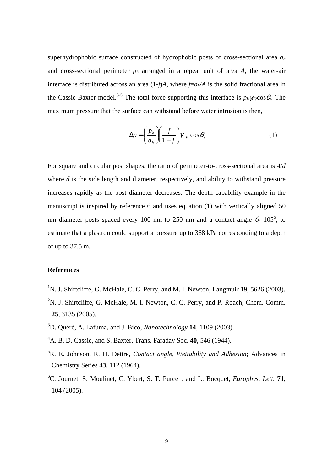superhydrophobic surface constructed of hydrophobic posts of cross-sectional area *a<sup>h</sup>* and cross-sectional perimeter  $p_h$  arranged in a repeat unit of area A, the water-air interface is distributed across an area  $(1-f)A$ , where  $f=a_h/A$  is the solid fractional area in the Cassie-Baxter model.<sup>3-5</sup> The total force supporting this interface is  $p_h \gamma_V \cos \theta$ . The maximum pressure that the surface can withstand before water intrusion is then,

$$
\Delta p = \left(\frac{p_h}{a_h}\right) \left(\frac{f}{1-f}\right) \gamma_{LV} \cos \theta_s \tag{1}
$$

For square and circular post shapes, the ratio of perimeter-to-cross-sectional area is 4/*d*  where *d* is the side length and diameter, respectively, and ability to withstand pressure increases rapidly as the post diameter decreases. The depth capability example in the manuscript is inspired by reference 6 and uses equation (1) with vertically aligned 50 nm diameter posts spaced every 100 nm to 250 nm and a contact angle  $\theta_s = 105^\circ$ , to estimate that a plastron could support a pressure up to 368 kPa corresponding to a depth of up to 37.5 m.

## **References**

- <sup>1</sup>N. J. Shirtcliffe, G. McHale, C. C. Perry, and M. I. Newton, Langmuir **19**, 5626 (2003).
- <sup>2</sup>N. J. Shirtcliffe, G. McHale, M. I. Newton, C. C. Perry, and P. Roach, Chem. Comm. **25**, 3135 (2005).
- <sup>3</sup>D. Quéré, A. Lafuma, and J. Bico, *Nanotechnology* **14**, 1109 (2003).
- <sup>4</sup>A. B. D. Cassie, and S. Baxter, Trans. Faraday Soc. **40**, 546 (1944).
- <sup>5</sup>R. E. Johnson, R. H. Dettre, *Contact angle, Wettability and Adhesion*; Advances in Chemistry Series **43**, 112 (1964).
- <sup>6</sup>C. Journet, S. Moulinet, C. Ybert, S. T. Purcell, and L. Bocquet, *Europhys. Lett.* **71**, 104 (2005).